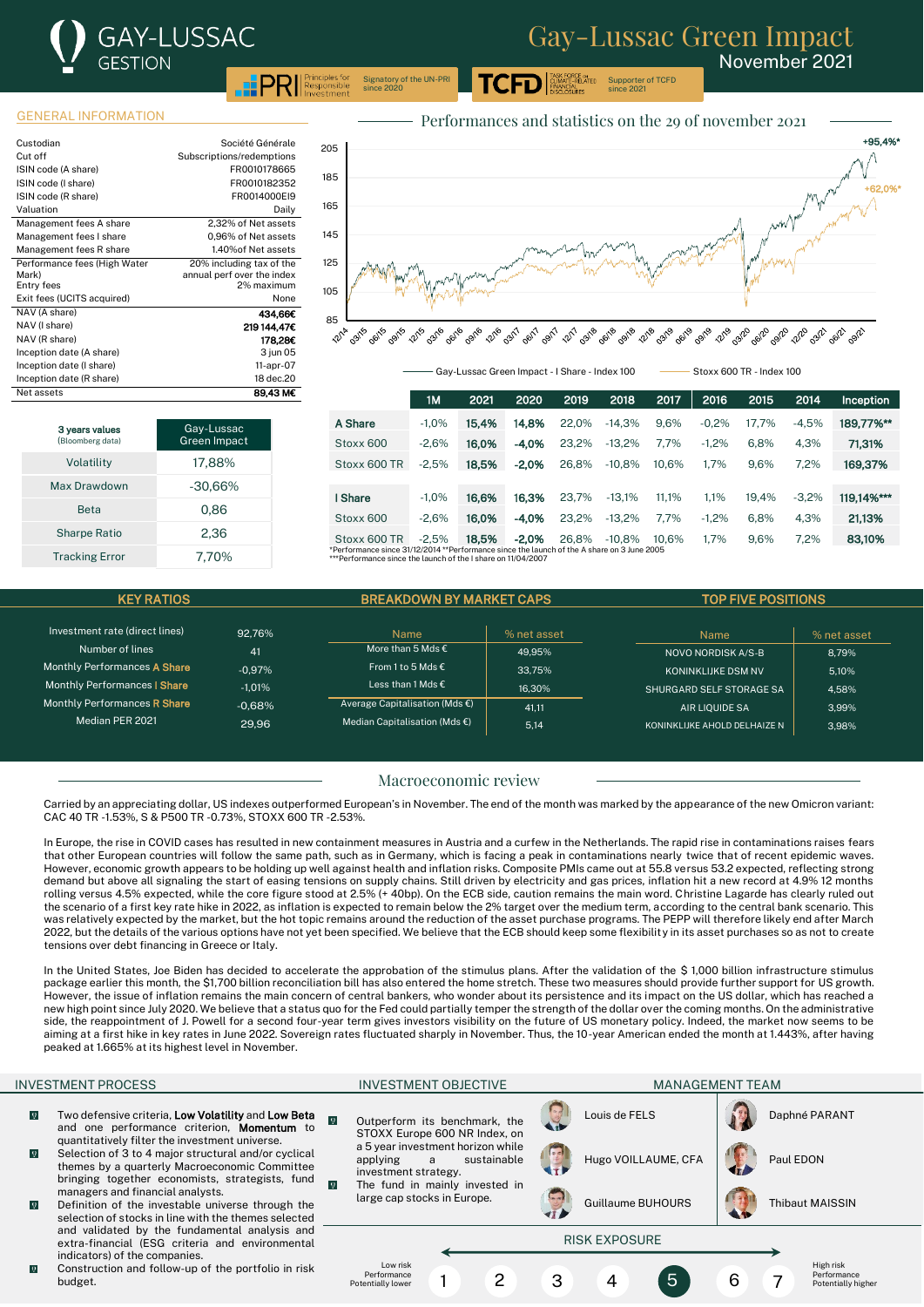# **GAY-LUSSAC GESTION PRI** Responsible

Supporter of TCFD since 2021

.<br>ASK FORCE o<mark>n</mark><br>CLIMATE-RELATED

November 2021

Signatory of the UN-PRI since 2020

### GENERAL INFORMATION

| Custodian                    | Société Générale           |
|------------------------------|----------------------------|
| Cut off                      | Subscriptions/redemptions  |
| ISIN code (A share)          | FR0010178665               |
| ISIN code (I share)          | FR0010182352               |
| ISIN code (R share)          | FR0014000EI9               |
| Valuation                    | Daily                      |
| Management fees A share      | 2.32% of Net assets        |
| Management fees I share      | 0,96% of Net assets        |
| Management fees R share      | 1.40% of Net assets        |
| Performance fees (High Water | 20% including tax of the   |
| Mark)                        | annual perf over the index |
| Entry fees                   | 2% maximum                 |
| Exit fees (UCITS acquired)   | None                       |
| NAV (A share)                | 434,66€                    |
| NAV (I share)                | 219 144.47€                |
| NAV (R share)                | 178.28€                    |
| Inception date (A share)     | 3 jun 05                   |
| Inception date (I share)     | 11-apr-07                  |
| Inception date (R share)     | 18 dec.20                  |
| Net assets                   | 89.43 M€                   |



| 3 years values<br>(Bloomberg data) | Gay-Lussac<br>Green Impact |
|------------------------------------|----------------------------|
| Volatility                         | 17,88%                     |
| Max Drawdown                       | $-30,66\%$                 |
| <b>Reta</b>                        | 0.86                       |
| <b>Sharpe Ratio</b>                | 2.36                       |
| <b>Tracking Error</b>              | 7.70%                      |

|                                                                                                                                                            | 1M      | 2021  | 2020    | 2019  | 2018     | 2017  | 2016    | 2015  | 2014    | Inception  |
|------------------------------------------------------------------------------------------------------------------------------------------------------------|---------|-------|---------|-------|----------|-------|---------|-------|---------|------------|
| A Share                                                                                                                                                    | $-1.0%$ | 15.4% | 14.8%   | 22.0% | $-14.3%$ | 9.6%  | $-0.2%$ | 17.7% | $-4.5%$ | 189.77%**  |
| Stoxx 600                                                                                                                                                  | $-2.6%$ | 16.0% | $-4.0%$ | 23.2% | $-13.2%$ | 7.7%  | $-1.2%$ | 6.8%  | 4.3%    | 71,31%     |
| Stoxx 600 TR                                                                                                                                               | $-2.5%$ | 18.5% | $-2.0%$ | 26.8% | $-10.8%$ | 10.6% | 1.7%    | 9.6%  | 7.2%    | 169.37%    |
|                                                                                                                                                            |         |       |         |       |          |       |         |       |         |            |
| I Share                                                                                                                                                    | $-1.0%$ | 16.6% | 16.3%   | 23.7% | $-13.1%$ | 11.1% | 1.1%    | 19.4% | $-3.2%$ | 119.14%*** |
| Stoxx 600                                                                                                                                                  | $-2.6%$ | 16.0% | $-4.0%$ | 23.2% | $-13.2%$ | 7.7%  | $-1.2%$ | 6.8%  | 4.3%    | 21,13%     |
| Stoxx 600 TR                                                                                                                                               | $-2.5%$ | 18.5% | $-2.0%$ | 26.8% | $-10.8%$ | 10.6% | 1.7%    | 9.6%  | 7.2%    | 83.10%     |
| *Performance since 31/12/2014 **Performance since the launch of the A share on 3 June 2005<br>***Performance since the launch of the I share on 11/04/2007 |         |       |         |       |          |       |         |       |         |            |

Gay-Lussac Green Impact - I Share - Index 100 Stoxx 600 TR - Index 100

KEY RATIOS GET A BREAKDOWN BY MARKET CAPS TOP FIVE POSITIONS Investment rate (direct lines) 92,76% Number of lines 41 Monthly Performances A Share -0,97% Monthly Performances I Share -1,01% Monthly Performances R Share -0,68% Median PER 2021 29,96 Name | % net asset More than 5 Mds  $\epsilon$  49,95% From 1 to 5 Mds  $\epsilon$  33,75% Less than 1 Mds €  $16,30\%$ Average Capitalisation (Mds  $\epsilon$ ) 41,11 Median Capitalisation (Mds  $\epsilon$ )  $\vert$  5,14 Name | % net asset NOVO NORDISK A/S-B  $\begin{array}{|c|c|c|c|c|} \hline \quad & \quad & 8,79\% \hline \end{array}$ KONINKLIJKE DSM NV  $\vert$  5.10% SHURGARD SELF STORAGE SA 4,58% AIR LIQUIDE SA  $\vert$  3,99% KONINKLIJKE AHOLD DELHAIZE N 3.98%

### Macroeconomic review

Carried by an appreciating dollar, US indexes outperformed European's in November. The end of the month was marked by the appearance of the new Omicron variant: CAC 40 TR -1.53%, S & P500 TR -0.73%, STOXX 600 TR -2.53%.

In Europe, the rise in COVID cases has resulted in new containment measures in Austria and a curfew in the Netherlands. The rapid rise in contaminations raises fears that other European countries will follow the same path, such as in Germany, which is facing a peak in contaminations nearly twice that of recent epidemic waves. However, economic growth appears to be holding up well against health and inflation risks. Composite PMIs came out at 55.8 versus 53.2 expected, reflecting strong demand but above all signaling the start of easing tensions on supply chains. Still driven by electricity and gas prices, inflation hit a new record at 4.9% 12 months rolling versus 4.5% expected, while the core figure stood at 2.5% (+ 40bp). On the ECB side, caution remains the main word. Christine Lagarde has clearly ruled out the scenario of a first key rate hike in 2022, as inflation is expected to remain below the 2% target over the medium term, according to the central bank scenario. This was relatively expected by the market, but the hot topic remains around the reduction of the asset purchase programs. The PEPP will therefore likely end after March 2022, but the details of the various options have not yet been specified. We believe that the ECB should keep some flexibility in its asset purchases so as not to create tensions over debt financing in Greece or Italy.

In the United States, Joe Biden has decided to accelerate the approbation of the stimulus plans. After the validation of the \$ 1,000 billion infrastructure stimulus package earlier this month, the \$1,700 billion reconciliation bill has also entered the home stretch. These two measures should provide further support for US growth. However, the issue of inflation remains the main concern of central bankers, who wonder about its persistence and its impact on the US dollar, which has reached a new high point since July 2020. We believe that a status quo for the Fed could partially temper the strength of the dollar over the coming months. On the administrative side, the reappointment of J. Powell for a second four-year term gives investors visibility on the future of US monetary policy. Indeed, the market now seems to be aiming at a first hike in key rates in June 2022. Sovereign rates fluctuated sharply in November. Thus, the 10-year American ended the month at 1.443%, after having peaked at 1.665% at its highest level in November.

- $\overline{0}$ Two defensive criteria, Low Volatility and Low Beta and one performance criterion, Momentum to quantitatively filter the investment universe.
- $\overline{0}$ Selection of 3 to 4 major structural and/or cyclical themes by a quarterly Macroeconomic Committee bringing together economists, strategists, fund managers and financial analysts.
- $\overline{0}$ Definition of the investable universe through the selection of stocks in line with the themes selected and validated by the fundamental analysis and extra-financial (ESG criteria and environmental indicators) of the companies.
- $\overline{9}$ Construction and follow-up of the portfolio in risk budget.

INVESTMENT PROCESS ENTITLED TO A RELATION OF THE INVESTMENT OBJECTIVE A RELATION OF MANAGEMENT TEAM Louis de FELS **Daphné PARANT**  $\boldsymbol{\mathsf{Q}}$ Outperform its benchmark, the STOXX Europe 600 NR Index, on a 5 year investment horizon while<br>applying a sustainable sustainable Hugo VOILLAUME, CFA | Paul EDON investment strategy.  $\overline{0}$ The fund in mainly invested in large cap stocks in Europe. Guillaume BUHOURS | Thibaut MAISSIN RISK EXPOSURE Low risk High risk Performance Performance Potentially higher 1 2 3 4 5 6 7 Potentially lowe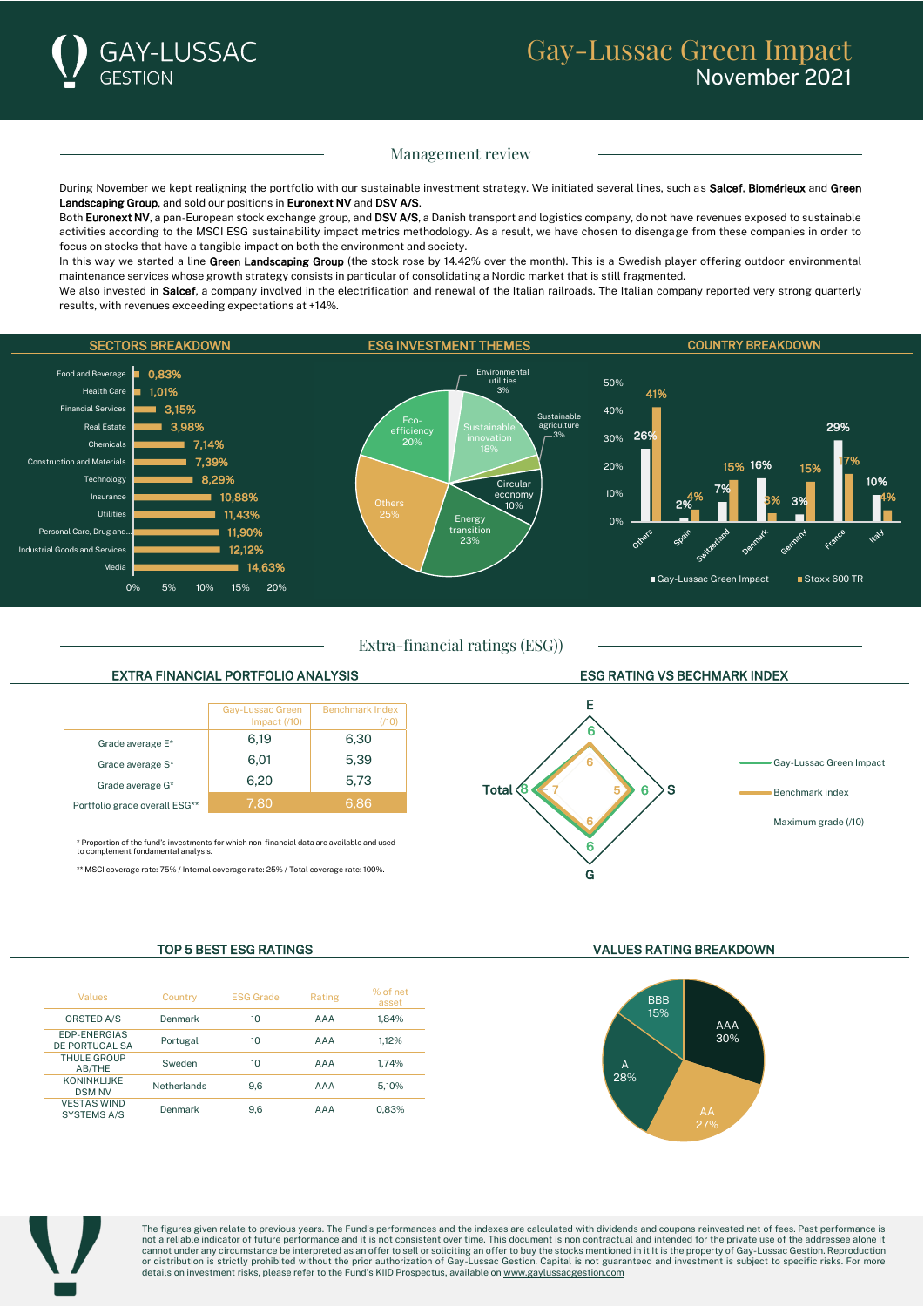## Management review

During November we kept realigning the portfolio with our sustainable investment strategy. We initiated several lines, such as Salcef. Biomérieux and Green Landscaping Group, and sold our positions in Euronext NV and DSV A/S.

Both Euronext NV, a pan-European stock exchange group, and DSV A/S, a Danish transport and logistics company, do not have revenues exposed to sustainable activities according to the MSCI ESG sustainability impact metrics methodology. As a result, we have chosen to disengage from these companies in order to focus on stocks that have a tangible impact on both the environment and society.

In this way we started a line Green Landscaping Group (the stock rose by 14.42% over the month). This is a Swedish player offering outdoor environmental maintenance services whose growth strategy consists in particular of consolidating a Nordic market that is still fragmented.

We also invested in Salcef, a company involved in the electrification and renewal of the Italian railroads. The Italian company reported very strong quarterly results, with revenues exceeding expectations at +14%.



Extra-financial ratings (ESG))

## EXTRA FINANCIAL PORTFOLIO ANALYSIS ESG RATING VS BECHMARK INDEX



\* Proportion of the fund's investments for which non-financial data are available and used to complement fondamental analysis.

\*\* MSCI coverage rate: 75% / Internal coverage rate: 25% / Total coverage rate: 100%.



| Values                                   | Country     | <b>ESG Grade</b> | Rating | % of net<br>asset |
|------------------------------------------|-------------|------------------|--------|-------------------|
| <b>ORSTED A/S</b>                        | Denmark     | 10               | AAA    | 1.84%             |
| EDP-ENERGIAS<br>DE PORTUGAL SA           | Portugal    | 10               | AAA    | 1.12%             |
| <b>THULE GROUP</b><br>AB/THE             | Sweden      | 10               | AAA    | 1.74%             |
| <b>KONINKLIJKE</b><br><b>DSM NV</b>      | Netherlands | 9.6              | AAA    | 5.10%             |
| <b>VESTAS WIND</b><br><b>SYSTEMS A/S</b> | Denmark     | 9.6              | AAA    | 0.83%             |

#### TOP 5 BEST ESG RATINGS VALUES RATING BREAKDOWN





The figures given relate to previous years. The Fund's performances and the indexes are calculated with dividends and coupons reinvested net of fees. Past performance is not a reliable indicator of future performance and it is not consistent over time. This document is non contractual and intended for the private use of the addressee alone it<br>cannot under any circumstance be interpreted as or distribution is strictly prohibited without the prior authorization of Gay-Lussac Gestion. Capital is not guaranteed and investment is subject to specific risks. For more<br>details on investment risks, please refer to the